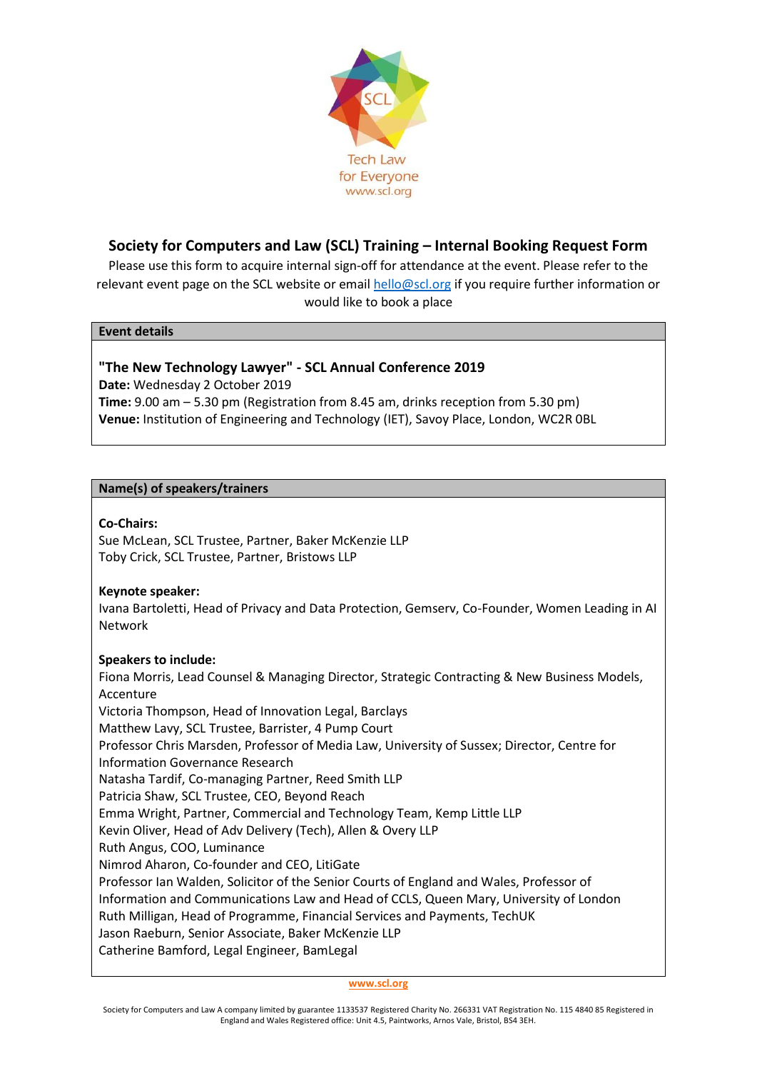

# **Society for Computers and Law (SCL) Training – Internal Booking Request Form**

Please use this form to acquire internal sign-off for attendance at the event. Please refer to the relevant event page on the SCL website or email [hello@scl.org](mailto:hello@scl.org) if you require further information or would like to book a place

#### **Event details**

## **"The New Technology Lawyer" - SCL Annual Conference 2019**

**Date:** Wednesday 2 October 2019 **Time:** 9.00 am – 5.30 pm (Registration from 8.45 am, drinks reception from 5.30 pm) **Venue:** Institution of Engineering and Technology (IET), Savoy Place, London, WC2R 0BL

### **Name(s) of speakers/trainers**

### **Co-Chairs:**

Sue McLean, SCL Trustee, Partner, Baker McKenzie LLP Toby Crick, SCL Trustee, Partner, Bristows LLP

### **Keynote speaker:**

Ivana Bartoletti, Head of Privacy and Data Protection, Gemserv, Co-Founder, Women Leading in AI Network

### **Speakers to include:**

Fiona Morris, Lead Counsel & Managing Director, Strategic Contracting & New Business Models, Accenture Victoria Thompson, Head of Innovation Legal, Barclays Matthew Lavy, SCL Trustee, Barrister, 4 Pump Court Professor Chris Marsden, Professor of Media Law, University of Sussex; Director, Centre for Information Governance Research Natasha Tardif, Co-managing Partner, Reed Smith LLP Patricia Shaw, SCL Trustee, CEO, Beyond Reach Emma Wright, Partner, Commercial and Technology Team, Kemp Little LLP Kevin Oliver, Head of Adv Delivery (Tech), Allen & Overy LLP Ruth Angus, COO, Luminance Nimrod Aharon, Co-founder and CEO, LitiGate Professor Ian Walden, Solicitor of the Senior Courts of England and Wales, Professor of Information and Communications Law and Head of CCLS, Queen Mary, University of London Ruth Milligan, Head of Programme, Financial Services and Payments, TechUK Jason Raeburn, Senior Associate, Baker McKenzie LLP Catherine Bamford, Legal Engineer, BamLegal

**[www.scl.org](http://www.scl.org/)**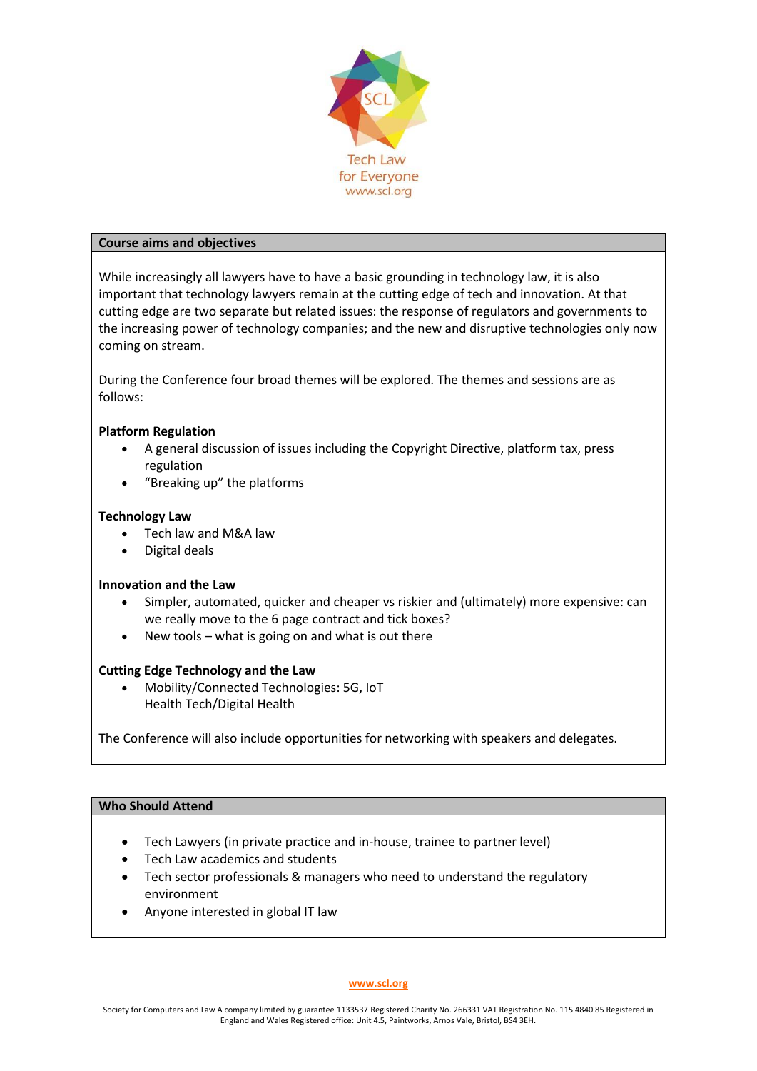

#### **Course aims and objectives**

While increasingly all lawyers have to have a basic grounding in technology law, it is also important that technology lawyers remain at the cutting edge of tech and innovation. At that cutting edge are two separate but related issues: the response of regulators and governments to the increasing power of technology companies; and the new and disruptive technologies only now coming on stream.

During the Conference four broad themes will be explored. The themes and sessions are as follows:

### **Platform Regulation**

- A general discussion of issues including the Copyright Directive, platform tax, press regulation
- "Breaking up" the platforms

#### **Technology Law**

- Tech law and M&A law
- Digital deals

#### **Innovation and the Law**

- Simpler, automated, quicker and cheaper vs riskier and (ultimately) more expensive: can we really move to the 6 page contract and tick boxes?
- New tools  $-$  what is going on and what is out there

#### **Cutting Edge Technology and the Law**

• Mobility/Connected Technologies: 5G, IoT Health Tech/Digital Health

The Conference will also include opportunities for networking with speakers and delegates.

### **Who Should Attend**

- Tech Lawyers (in private practice and in-house, trainee to partner level)
- Tech Law academics and students
- Tech sector professionals & managers who need to understand the regulatory environment
- Anyone interested in global IT law

#### **[www.scl.org](http://www.scl.org/)**